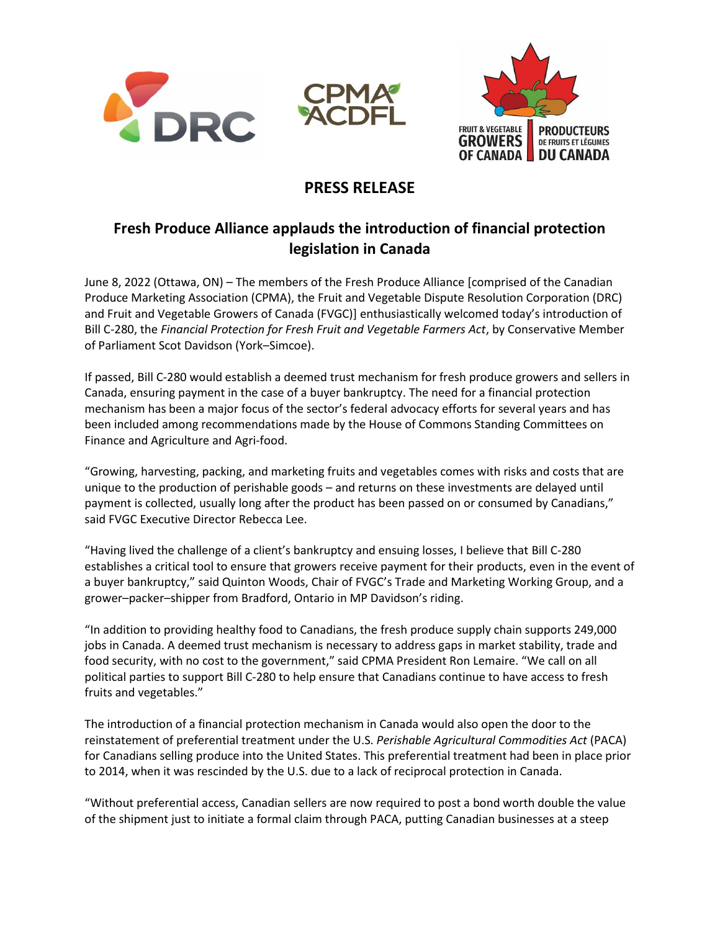





## **PRESS RELEASE**

# **Fresh Produce Alliance applauds the introduction of financial protection legislation in Canada**

June 8, 2022 (Ottawa, ON) – The members of the Fresh Produce Alliance [comprised of the Canadian Produce Marketing Association (CPMA), the Fruit and Vegetable Dispute Resolution Corporation (DRC) and Fruit and Vegetable Growers of Canada (FVGC)] enthusiastically welcomed today's introduction of Bill C-280, the *Financial Protection for Fresh Fruit and Vegetable Farmers Act*, by Conservative Member of Parliament Scot Davidson (York–Simcoe).

If passed, Bill C-280 would establish a deemed trust mechanism for fresh produce growers and sellers in Canada, ensuring payment in the case of a buyer bankruptcy. The need for a financial protection mechanism has been a major focus of the sector's federal advocacy efforts for several years and has been included among recommendations made by the House of Commons Standing Committees on Finance and Agriculture and Agri-food.

"Growing, harvesting, packing, and marketing fruits and vegetables comes with risks and costs that are unique to the production of perishable goods – and returns on these investments are delayed until payment is collected, usually long after the product has been passed on or consumed by Canadians," said FVGC Executive Director Rebecca Lee.

"Having lived the challenge of a client's bankruptcy and ensuing losses, I believe that Bill C-280 establishes a critical tool to ensure that growers receive payment for their products, even in the event of a buyer bankruptcy," said Quinton Woods, Chair of FVGC's Trade and Marketing Working Group, and a grower–packer–shipper from Bradford, Ontario in MP Davidson's riding.

"In addition to providing healthy food to Canadians, the fresh produce supply chain supports 249,000 jobs in Canada. A deemed trust mechanism is necessary to address gaps in market stability, trade and food security, with no cost to the government," said CPMA President Ron Lemaire. "We call on all political parties to support Bill C-280 to help ensure that Canadians continue to have access to fresh fruits and vegetables."

The introduction of a financial protection mechanism in Canada would also open the door to the reinstatement of preferential treatment under the U.S. *Perishable Agricultural Commodities Act* (PACA) for Canadians selling produce into the United States. This preferential treatment had been in place prior to 2014, when it was rescinded by the U.S. due to a lack of reciprocal protection in Canada.

"Without preferential access, Canadian sellers are now required to post a bond worth double the value of the shipment just to initiate a formal claim through PACA, putting Canadian businesses at a steep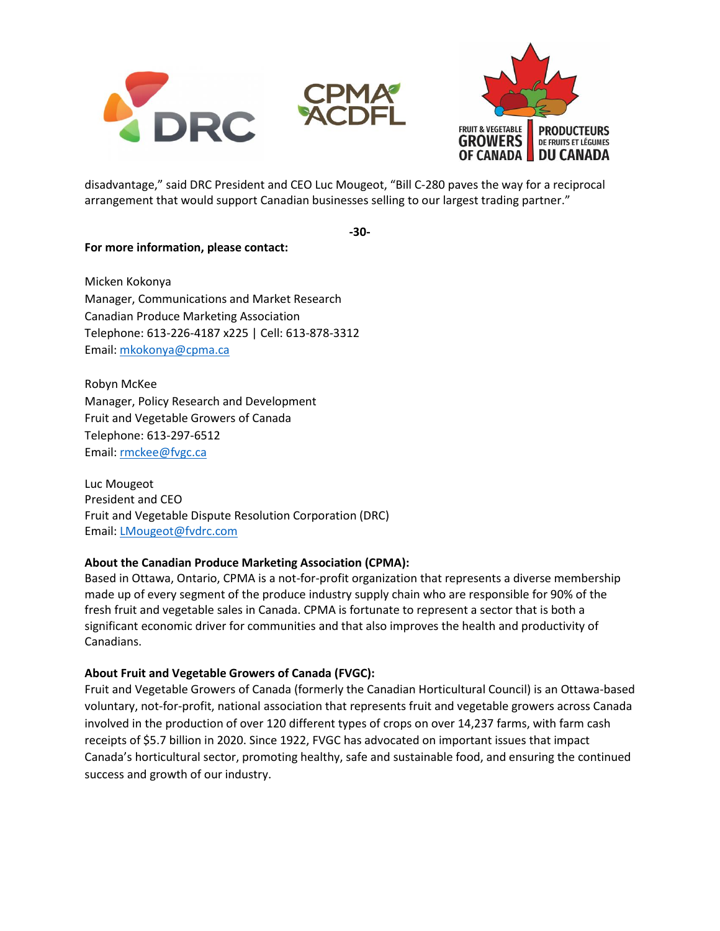



disadvantage," said DRC President and CEO Luc Mougeot, "Bill C-280 paves the way for a reciprocal arrangement that would support Canadian businesses selling to our largest trading partner."

**-30-**

### **For more information, please contact:**

Micken Kokonya Manager, Communications and Market Research Canadian Produce Marketing Association Telephone: 613-226-4187 x225 | Cell: 613-878-3312 Email: [mkokonya@cpma.ca](mailto:mkokonya@cpma.ca)

Robyn McKee Manager, Policy Research and Development Fruit and Vegetable Growers of Canada Telephone: 613-297-6512 Email: [rmckee@fvgc.ca](mailto:rmckee@fvgc.ca)

Luc Mougeot President and CEO Fruit and Vegetable Dispute Resolution Corporation (DRC) Email: [LMougeot@fvdrc.com](mailto:LMougeot@fvdrc.com)

#### **About the Canadian Produce Marketing Association (CPMA):**

Based in Ottawa, Ontario, CPMA is a not-for-profit organization that represents a diverse membership made up of every segment of the produce industry supply chain who are responsible for 90% of the fresh fruit and vegetable sales in Canada. CPMA is fortunate to represent a sector that is both a significant economic driver for communities and that also improves the health and productivity of Canadians.

#### **About Fruit and Vegetable Growers of Canada (FVGC):**

Fruit and Vegetable Growers of Canada (formerly the Canadian Horticultural Council) is an Ottawa-based voluntary, not-for-profit, national association that represents fruit and vegetable growers across Canada involved in the production of over 120 different types of crops on over 14,237 farms, with farm cash receipts of \$5.7 billion in 2020. Since 1922, FVGC has advocated on important issues that impact Canada's horticultural sector, promoting healthy, safe and sustainable food, and ensuring the continued success and growth of our industry.